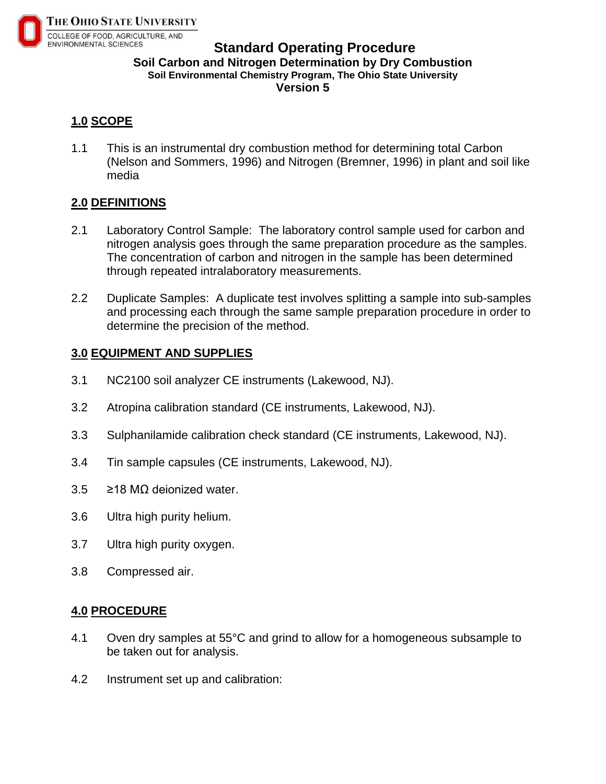

## **Standard Operating Procedure Soil Carbon and Nitrogen Determination by Dry Combustion Soil Environmental Chemistry Program, The Ohio State University Version 5**

# **1.0 SCOPE**

1.1 This is an instrumental dry combustion method for determining total Carbon (Nelson and Sommers, 1996) and Nitrogen (Bremner, 1996) in plant and soil like media

# **2.0 DEFINITIONS**

- 2.1 Laboratory Control Sample: The laboratory control sample used for carbon and nitrogen analysis goes through the same preparation procedure as the samples. The concentration of carbon and nitrogen in the sample has been determined through repeated intralaboratory measurements.
- 2.2 Duplicate Samples: A duplicate test involves splitting a sample into sub-samples and processing each through the same sample preparation procedure in order to determine the precision of the method.

## **3.0 EQUIPMENT AND SUPPLIES**

- 3.1 NC2100 soil analyzer CE instruments (Lakewood, NJ).
- 3.2 Atropina calibration standard (CE instruments, Lakewood, NJ).
- 3.3 Sulphanilamide calibration check standard (CE instruments, Lakewood, NJ).
- 3.4 Tin sample capsules (CE instruments, Lakewood, NJ).
- 3.5 ≥18 MΩ deionized water.
- 3.6 Ultra high purity helium.
- 3.7 Ultra high purity oxygen.
- 3.8 Compressed air.

#### **4.0 PROCEDURE**

- 4.1 Oven dry samples at 55°C and grind to allow for a homogeneous subsample to be taken out for analysis.
- 4.2 Instrument set up and calibration: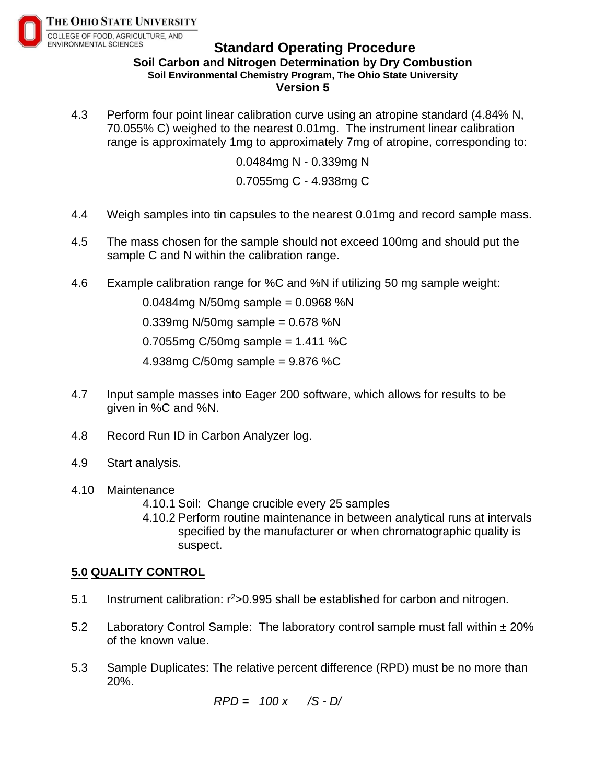

#### **Standard Operating Procedure Soil Carbon and Nitrogen Determination by Dry Combustion Soil Environmental Chemistry Program, The Ohio State University Version 5**

4.3 Perform four point linear calibration curve using an atropine standard (4.84% N, 70.055% C) weighed to the nearest 0.01mg. The instrument linear calibration range is approximately 1mg to approximately 7mg of atropine, corresponding to:

> 0.0484mg N - 0.339mg N 0.7055mg C - 4.938mg C

- 4.4 Weigh samples into tin capsules to the nearest 0.01mg and record sample mass.
- 4.5 The mass chosen for the sample should not exceed 100mg and should put the sample C and N within the calibration range.
- 4.6 Example calibration range for %C and %N if utilizing 50 mg sample weight:

0.0484mg N/50mg sample = 0.0968 %N

0.339mg N/50mg sample =  $0.678$  %N

0.7055mg C/50mg sample =  $1.411$  %C

4.938mg C/50mg sample = 9.876 %C

- 4.7 Input sample masses into Eager 200 software, which allows for results to be given in %C and %N.
- 4.8 Record Run ID in Carbon Analyzer log.
- 4.9 Start analysis.
- 4.10 Maintenance
	- 4.10.1 Soil: Change crucible every 25 samples
	- 4.10.2 Perform routine maintenance in between analytical runs at intervals specified by the manufacturer or when chromatographic quality is suspect.

#### **5.0 QUALITY CONTROL**

- 5.1 Instrument calibration:  $r^2 > 0.995$  shall be established for carbon and nitrogen.
- 5.2 Laboratory Control Sample: The laboratory control sample must fall within  $\pm 20\%$ of the known value.
- 5.3 Sample Duplicates: The relative percent difference (RPD) must be no more than 20%.

$$
RPD = 100 x \quad \underline{\text{/S - D}}/
$$